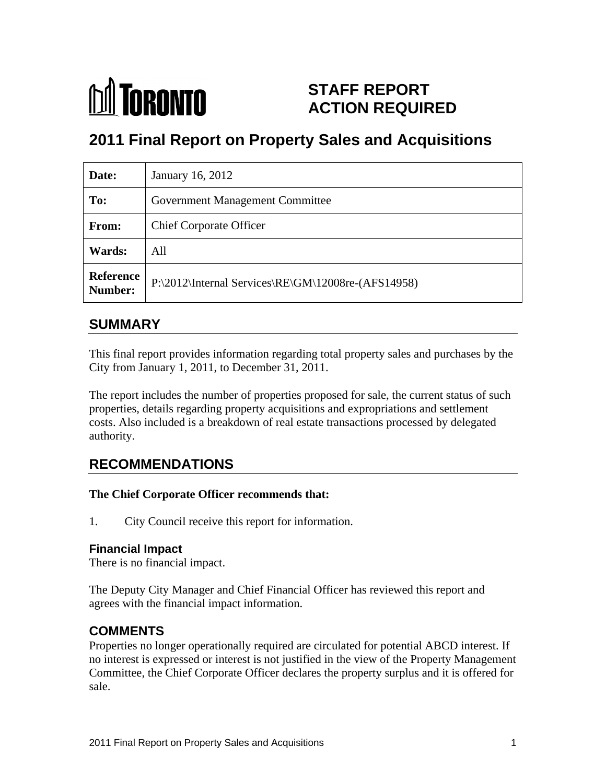

# **STAFF REPORT ACTION REQUIRED**

# **2011 Final Report on Property Sales and Acquisitions**

| Date:         | January 16, 2012                                                |
|---------------|-----------------------------------------------------------------|
| To:           | <b>Government Management Committee</b>                          |
| From:         | <b>Chief Corporate Officer</b>                                  |
| <b>Wards:</b> | All                                                             |
|               | Reference<br>P:\2012\Internal Services\RE\GM\12008re-(AFS14958) |

#### **SUMMARY**

This final report provides information regarding total property sales and purchases by the City from January 1, 2011, to December 31, 2011.

The report includes the number of properties proposed for sale, the current status of such properties, details regarding property acquisitions and expropriations and settlement costs. Also included is a breakdown of real estate transactions processed by delegated authority.

## **RECOMMENDATIONS**

#### **The Chief Corporate Officer recommends that:**

1. City Council receive this report for information.

#### **Financial Impact**

There is no financial impact.

The Deputy City Manager and Chief Financial Officer has reviewed this report and agrees with the financial impact information.

### **COMMENTS**

Properties no longer operationally required are circulated for potential ABCD interest. If no interest is expressed or interest is not justified in the view of the Property Management Committee, the Chief Corporate Officer declares the property surplus and it is offered for sale.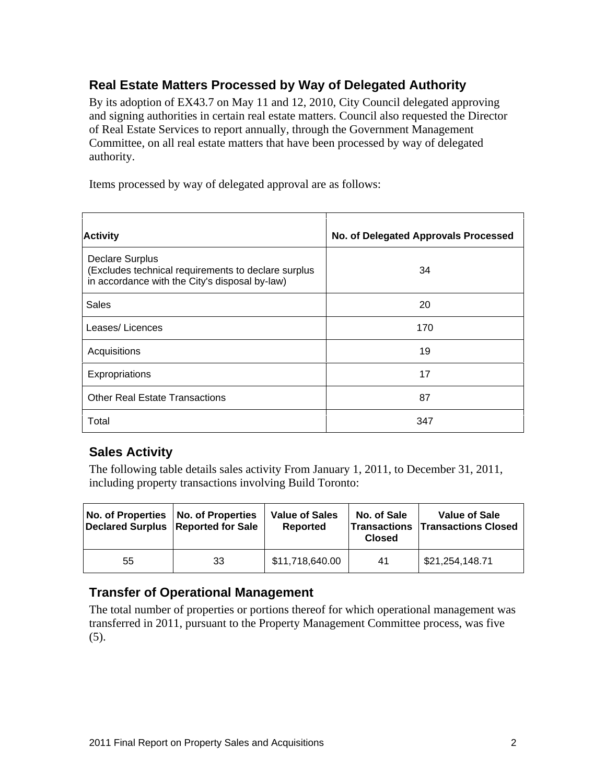# **Real Estate Matters Processed by Way of Delegated Authority**

By its adoption of EX43.7 on May 11 and 12, 2010, City Council delegated approving and signing authorities in certain real estate matters. Council also requested the Director of Real Estate Services to report annually, through the Government Management Committee, on all real estate matters that have been processed by way of delegated authority.

Items processed by way of delegated approval are as follows:

| <b>Activity</b>                                                                                                            | $\vert$ No. of Delegated Approvals Processed $\vert$ |
|----------------------------------------------------------------------------------------------------------------------------|------------------------------------------------------|
| Declare Surplus<br>  (Excludes technical requirements to declare surplus<br>in accordance with the City's disposal by-law) | 34                                                   |
| Sales                                                                                                                      | 20                                                   |
| Leases/Licences                                                                                                            | 170                                                  |
| Acquisitions                                                                                                               |                                                      |
| Expropriations                                                                                                             |                                                      |
| Other Real Estate Transactions                                                                                             | $\sim$                                               |
| Total                                                                                                                      | 347                                                  |

### **Sales Activity**

The following table details sales activity From January 1, 2011, to December 31, 2011, including property transactions involving Build Toronto:

### **Transfer of Operational Management**

The total number of properties or portions thereof for which operational management was transferred in 2011, pursuant to the Property Management Committee process, was five (5).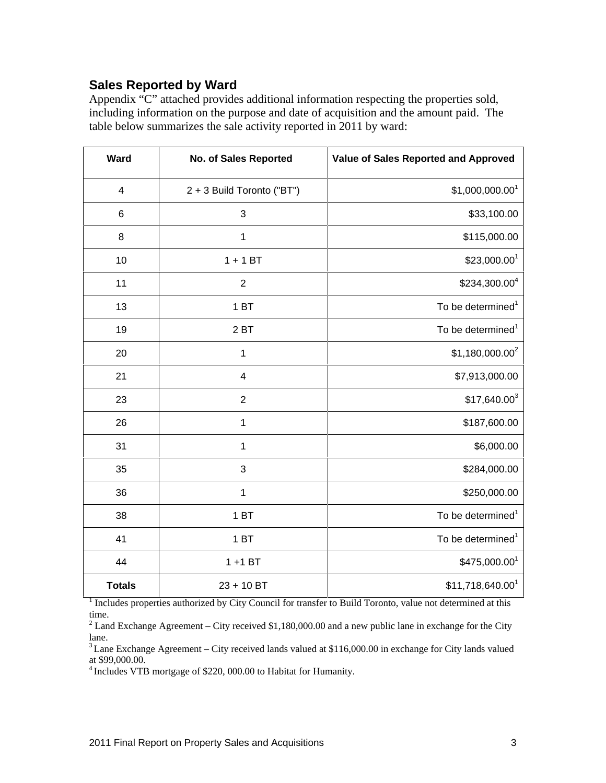### **Sales Reported by Ward**

Appendix "C" attached provides additional information respecting the properties sold, including information on the purpose and date of acquisition and the amount paid. The table below summarizes the sale activity reported in 2011 by ward:

| Ward           | No. of Sales Reported      | Value of Sales Reported and Approved |
|----------------|----------------------------|--------------------------------------|
| $\overline{4}$ | 2 + 3 Build Toronto ("BT") | $$1,000,000.00$ <sup>1</sup>         |
| 6              | $\mathbf{3}$               | \$33,100.00                          |
| 8              | $\overline{1}$             | \$115,000.00                         |
| 10             | $1 + 1$ BT                 | \$23,000.00 <sup>1</sup>             |
| 11             | $\overline{2}$             | \$234,300.00 <sup>4</sup>            |
| 13             | 1 BT                       | To be determined <sup>1</sup>        |
| 19             | $2B$ T                     | To be determined <sup>1</sup>        |
| 20             | $\overline{1}$             | $$1,180,000.00^2$                    |
| 21             | $\overline{4}$             | \$7,913,000.00                       |
| 23             | $\overline{2}$             | $$17,640.00^3$                       |
| 26             | $\overline{1}$             | \$187,600.00                         |
| 31             | $\overline{1}$             | \$6,000.00                           |
| 35             | $\mathbf{3}$               | \$284,000.00                         |
| 36             | $\overline{1}$             | \$250,000.00                         |
| 38             | 1B                         | To be determined <sup>1</sup>        |
| 41             | 1B                         | To be determined <sup>1</sup>        |
| 44             | $1 + 1$ BT                 | \$475,000.00 <sup>1</sup>            |
| <b>Totals</b>  | $23 + 10 B$ T              | \$11,718,640.00 <sup>1</sup>         |

<sup>1</sup> Includes properties authorized by City Council for transfer to Build Toronto, value not determined at this time.<br><sup>2</sup> Land Exchange Agreement – City received \$1,180,000.00 and a new public lane in exchange for the City

lane.<br><sup>3</sup> Lane Exchange Agreement – City received lands valued at \$116,000.00 in exchange for City lands valued at \$99,000.00.

Includes VTB mortgage of \$220, 000.00 to Habitat for Humanity.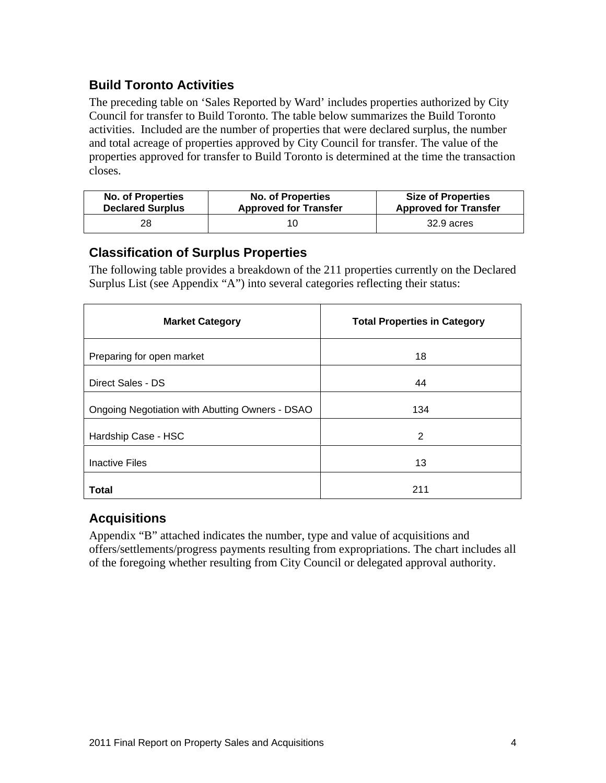### **Build Toronto Activities**

The preceding table on 'Sales Reported by Ward' includes properties authorized by City Council for transfer to Build Toronto. The table below summarizes the Build Toronto activities. Included are the number of properties that were declared surplus, the number and total acreage of properties approved by City Council for transfer. The value of the properties approved for transfer to Build Toronto is determined at the time the transaction closes.

| <b>No. of Properties</b> | <b>No. of Properties</b>     | <b>Size of Properties</b>    |
|--------------------------|------------------------------|------------------------------|
| <b>Declared Surplus</b>  | <b>Approved for Transfer</b> | <b>Approved for Transfer</b> |
|                          |                              | 32.9 acres                   |

#### **Classification of Surplus Properties**

The following table provides a breakdown of the 211 properties currently on the Declared Surplus List (see Appendix "A") into several categories reflecting their status:

| <b>Market Category</b>                          | <b>Total Properties in Category</b> |
|-------------------------------------------------|-------------------------------------|
| Preparing for open market                       |                                     |
| Direct Sales - DS                               |                                     |
| Ongoing Negotiation with Abutting Owners - DSAO | 134                                 |
|                                                 |                                     |
| Hardship Case - HSC                             |                                     |
| Inactive Files                                  |                                     |
| Total                                           | 211                                 |

### **Acquisitions**

Appendix "B" attached indicates the number, type and value of acquisitions and offers/settlements/progress payments resulting from expropriations. The chart includes all of the foregoing whether resulting from City Council or delegated approval authority.